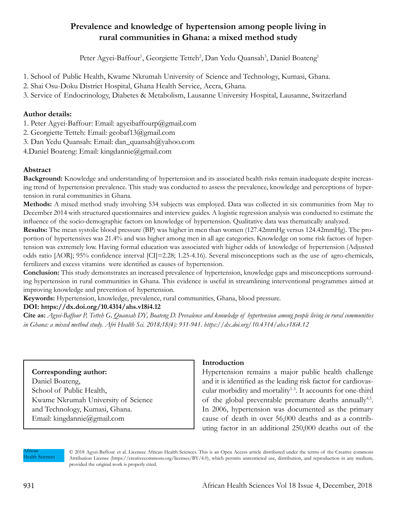# **Prevalence and knowledge of hypertension among people living in rural communities in Ghana: a mixed method study**

Peter Agyei-Baffour<sup>1</sup>, Georgiette Tetteh<sup>2</sup>, Dan Yedu Quansah<sup>3</sup>, Daniel Boateng<sup>1</sup>

- 1. School of Public Health, Kwame Nkrumah University of Science and Technology, Kumasi, Ghana.
- 2. Shai Osu-Doku District Hospital, Ghana Health Service, Accra, Ghana.
- 3. Service of Endocrinology, Diabetes & Metabolism, Lausanne University Hospital, Lausanne, Switzerland

### **Author details:**

- 1. Peter Agyei-Baffour: Email: agyeibaffourp@gmail.com
- 2. Georgiette Tetteh: Email: geobaf13@gmail.com
- 3. Dan Yedu Quansah: Email: dan\_quansah@yahoo.com
- 4.Daniel Boateng: Email: kingdannie@gmail.com

# **Abstract**

**Background:** Knowledge and understanding of hypertension and its associated health risks remain inadequate despite increasing trend of hypertension prevalence. This study was conducted to assess the prevalence, knowledge and perceptions of hypertension in rural communities in Ghana.

**Methods:** A mixed method study involving 534 subjects was employed. Data was collected in six communities from May to December 2014 with structured questionnaires and interview guides. A logistic regression analysis was conducted to estimate the influence of the socio-demographic factors on knowledge of hypertension. Qualitative data was thematically analyzed.

**Results:** The mean systolic blood pressure (BP) was higher in men than women (127.42mmHg versus 124.42mmHg). The proportion of hypertensives was 21.4% and was higher among men in all age categories. Knowledge on some risk factors of hypertension was extremely low. Having formal education was associated with higher odds of knowledge of hypertension (Adjusted odds ratio [AOR]; 95% confidence interval [CI]=2.28; 1.25-4.16). Several misconceptions such as the use of agro-chemicals, fertilizers and excess vitamins were identified as causes of hypertension.

**Conclusion:** This study demonstrates an increased prevalence of hypertension, knowledge gaps and misconceptions surrounding hypertension in rural communities in Ghana. This evidence is useful in streamlining interventional programmes aimed at improving knowledge and prevention of hypertension.

**Keywords:** Hypertension, knowledge, prevalence, rural communities, Ghana, blood pressure.

### **DOI: https://dx.doi.org/10.4314/ahs.v18i4.12**

**Cite as:** *Agyei-Baffour P, Tetteh G, Quansah DY, Boateng D. Prevalence and knowledge of hypertension among people living in rural communities in Ghana: a mixed method study. Afri Health Sci. 2018;18(4): 931-941. https://dx.doi.org/10.4314/ahs.v18i4.12*

# **Corresponding author:**

Daniel Boateng, School of Public Health, Kwame Nkrumah University of Science and Technology, Kumasi, Ghana. Email: kingdannie@gmail.com

### **Introduction**

Hypertension remains a major public health challenge and it is identified as the leading risk factor for cardiovascular morbidity and mortality<sup>1-3</sup>. It accounts for one-third of the global preventable premature deaths annually<sup>4,5</sup>. In 2006, hypertension was documented as the primary cause of death in over 56,000 deaths and as a contributing factor in an additional 250,000 deaths out of the

African Health Sciences

© 2018 Agyei-Baffour et al. Licensee African Health Sciences. This is an Open Access article distributed under the terms of the Creative commons Attribution License (https://creativecommons.org/licenses/BY/4.0), which permits unrestricted use, distribution, and reproduction in any medium, provided the original work is properly cited.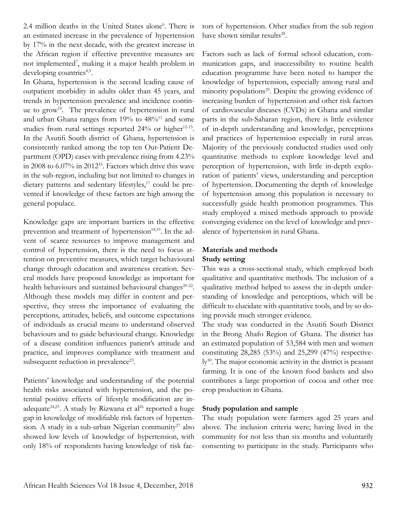2.4 million deaths in the United States alone<sup>6</sup>. There is an estimated increase in the prevalence of hypertension by 17% in the next decade, with the greatest increase in the African region if effective preventive measures are not implemented7 , making it a major health problem in developing countries<sup>8,9</sup>.

In Ghana, hypertension is the second leading cause of outpatient morbidity in adults older than 45 years, and trends in hypertension prevalence and incidence continue to grow<sup>10</sup>. The prevalence of hypertension in rural and urban Ghana ranges from 19% to 48%<sup>11</sup> and some studies from rural settings reported 24% or higher<sup>12-15</sup>. In the Asutifi South district of Ghana, hypertension is consistently ranked among the top ten Out-Patient Department (OPD) cases with prevalence rising from 4.23% in 2008 to 6.07% in 201216. Factors which drive this wave in the sub-region, including but not limited to changes in dietary patterns and sedentary lifestyles,<sup>17</sup> could be prevented if knowledge of these factors are high among the general populace.

Knowledge gaps are important barriers in the effective prevention and treatment of hypertension<sup>18,19</sup>. In the advent of scarce resources to improve management and control of hypertension, there is the need to focus attention on preventive measures, which target behavioural change through education and awareness creation. Several models have proposed knowledge as important for health behaviours and sustained behavioural changes<sup>20-22</sup>. Although these models may differ in content and perspective, they stress the importance of evaluating the perceptions, attitudes, beliefs, and outcome expectations of individuals as crucial means to understand observed behaviours and to guide behavioural change. Knowledge of a disease condition influences patient's attitude and practice, and improves compliance with treatment and subsequent reduction in prevalence<sup>23</sup>.

Patients' knowledge and understanding of the potential health risks associated with hypertension, and the potential positive effects of lifestyle modification are inadequate<sup>24,25</sup>. A study by Rizwana et al<sup>26</sup> reported a huge gap in knowledge of modifiable risk factors of hypertension. A study in a sub-urban Nigerian community<sup>27</sup> also showed low levels of knowledge of hypertension, with only 18% of respondents having knowledge of risk factors of hypertension. Other studies from the sub region have shown similar results<sup>28</sup>.

Factors such as lack of formal school education, communication gaps, and inaccessibility to routine health education programme have been noted to hamper the knowledge of hypertension, especially among rural and minority populations<sup>29</sup>. Despite the growing evidence of increasing burden of hypertension and other risk factors of cardiovascular diseases (CVDs) in Ghana and similar parts in the sub-Saharan region, there is little evidence of in-depth understanding and knowledge, perceptions and practices of hypertension especially in rural areas. Majority of the previously conducted studies used only quantitative methods to explore knowledge level and perception of hypertension, with little in-depth exploration of patients' views, understanding and perception of hypertension. Documenting the depth of knowledge of hypertension among this population is necessary to successfully guide health promotion programmes. This study employed a mixed methods approach to provide converging evidence on the level of knowledge and prevalence of hypertension in rural Ghana.

# **Materials and methods Study setting**

This was a cross-sectional study, which employed both qualitative and quantitative methods. The inclusion of a qualitative method helped to assess the in-depth understanding of knowledge and perceptions, which will be difficult to elucidate with quantitative tools, and by so doing provide much stronger evidence.

The study was conducted in the Asutifi South District in the Brong Ahafo Region of Ghana. The district has an estimated population of 53,584 with men and women constituting 28,285 (53%) and 25,299 (47%) respectively<sup>30</sup>. The major economic activity in the district is peasant farming. It is one of the known food baskets and also contributes a large proportion of cocoa and other tree crop production in Ghana.

### **Study population and sample**

The study population were farmers aged 25 years and above. The inclusion criteria were; having lived in the community for not less than six months and voluntarily consenting to participate in the study. Participants who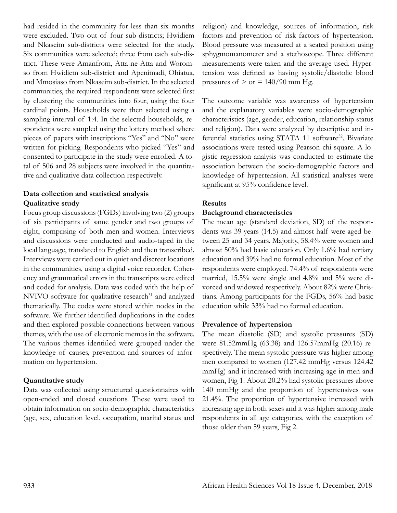had resided in the community for less than six months were excluded. Two out of four sub-districts; Hwidiem and Nkaseim sub-districts were selected for the study. Six communities were selected; three from each sub-district. These were Amanfrom, Atta-ne-Atta and Woromso from Hwidiem sub-district and Apenimadi, Ohiatua, and Mmosiaso from Nkaseim sub-district. In the selected communities, the required respondents were selected first by clustering the communities into four, using the four cardinal points. Households were then selected using a sampling interval of 1:4. In the selected households, respondents were sampled using the lottery method where pieces of papers with inscriptions "Yes" and "No" were written for picking. Respondents who picked "Yes" and consented to participate in the study were enrolled. A total of 506 and 28 subjects were involved in the quantitative and qualitative data collection respectively.

# **Data collection and statistical analysis Qualitative study**

Focus group discussions (FGDs) involving two (2) groups of six participants of same gender and two groups of eight, comprising of both men and women. Interviews and discussions were conducted and audio-taped in the local language, translated to English and then transcribed. Interviews were carried out in quiet and discreet locations in the communities, using a digital voice recorder. Coherency and grammatical errors in the transcripts were edited and coded for analysis. Data was coded with the help of NVIVO software for qualitative research<sup>31</sup> and analyzed thematically. The codes were stored within nodes in the software. We further identified duplications in the codes and then explored possible connections between various themes, with the use of electronic memos in the software. The various themes identified were grouped under the knowledge of causes, prevention and sources of information on hypertension.

#### **Quantitative study**

Data was collected using structured questionnaires with open-ended and closed questions. These were used to obtain information on socio-demographic characteristics (age, sex, education level, occupation, marital status and religion) and knowledge, sources of information, risk factors and prevention of risk factors of hypertension. Blood pressure was measured at a seated position using sphygmomanometer and a stethoscope. Three different measurements were taken and the average used. Hypertension was defined as having systolic/diastolic blood pressures of  $>$  or  $= 140/90$  mm Hg.

The outcome variable was awareness of hypertension and the explanatory variables were socio-demographic characteristics (age, gender, education, relationship status and religion). Data were analyzed by descriptive and inferential statistics using STATA 11 software<sup>32</sup>. Bivariate associations were tested using Pearson chi-square. A logistic regression analysis was conducted to estimate the association between the socio-demographic factors and knowledge of hypertension. All statistical analyses were significant at 95% confidence level.

### **Results**

#### **Background characteristics**

The mean age (standard deviation, SD) of the respondents was 39 years (14.5) and almost half were aged between 25 and 34 years. Majority, 58.4% were women and almost 50% had basic education. Only 1.6% had tertiary education and 39% had no formal education. Most of the respondents were employed. 74.4% of respondents were married, 15.5% were single and 4.8% and 5% were divorced and widowed respectively. About 82% were Christians. Among participants for the FGDs, 56% had basic education while 33% had no formal education.

#### **Prevalence of hypertension**

The mean diastolic (SD) and systolic pressures (SD) were 81.52mmHg (63.38) and 126.57mmHg (20.16) respectively. The mean systolic pressure was higher among men compared to women (127.42 mmHg versus 124.42 mmHg) and it increased with increasing age in men and women, Fig 1. About 20.2% had systolic pressures above 140 mmHg and the proportion of hypertensives was 21.4%. The proportion of hypertensive increased with increasing age in both sexes and it was higher among male respondents in all age categories, with the exception of those older than 59 years, Fig 2.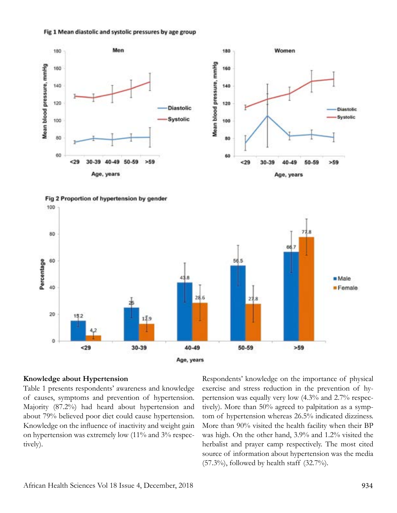







#### **Knowledge about Hypertension**

Table 1 presents respondents' awareness and knowledge of causes, symptoms and prevention of hypertension. Majority (87.2%) had heard about hypertension and about 79% believed poor diet could cause hypertension. Knowledge on the influence of inactivity and weight gain on hypertension was extremely low (11% and 3% respectively).

Respondents' knowledge on the importance of physical exercise and stress reduction in the prevention of hypertension was equally very low (4.3% and 2.7% respectively). More than 50% agreed to palpitation as a symptom of hypertension whereas 26.5% indicated dizziness. More than 90% visited the health facility when their BP was high. On the other hand, 3.9% and 1.2% visited the herbalist and prayer camp respectively. The most cited source of information about hypertension was the media  $(57.3\%)$ , followed by health staff  $(32.7\%)$ .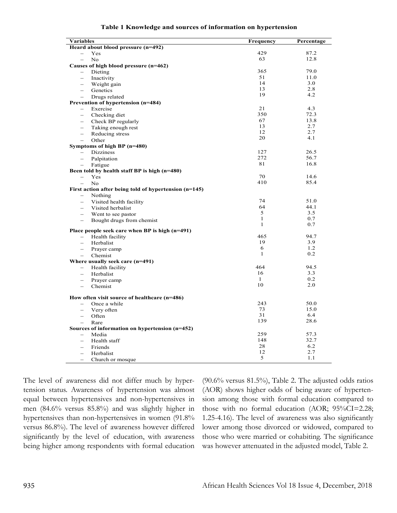|  |  | Table 1 Knowledge and sources of information on hypertension |
|--|--|--------------------------------------------------------------|
|  |  |                                                              |

| Heard about blood pressure (n=492)<br>429<br>87.2<br><b>Yes</b><br>63<br>12.8<br>No<br>$\equiv$<br>Causes of high blood pressure (n=462)<br>365<br>79.0<br>Dieting<br>$\qquad \qquad -$<br>51<br>11.0<br>Inactivity<br>$\overline{\phantom{0}}$<br>14<br>3.0<br>Weight gain<br>$\equiv$<br>13<br>2.8<br>Genetics<br>$\equiv$<br>19<br>4.2<br>Drugs related<br>Prevention of hypertension (n=484)<br>21<br>4.3<br>Exercise<br>$\qquad \qquad -$<br>350<br>72.3<br>Checking diet<br>$\equiv$<br>67<br>13.8<br>Check BP regularly<br>$\overline{\phantom{m}}$<br>13<br>2.7<br>Taking enough rest<br>12<br>2.7<br>Reducing stress<br>$\equiv$<br>20<br>4.1<br>Other<br>$\equiv$<br>Symptoms of high BP (n=480)<br>127<br>26.5<br><b>Dizziness</b><br>$\qquad \qquad -$<br>272<br>56.7<br>Palpitation<br>$\overline{\phantom{0}}$<br>81<br>16.8<br>Fatigue<br>$\equiv$<br>Been told by health staff BP is high (n=480)<br>70<br>Yes<br>14.6<br>410<br>85.4<br>No<br>$\equiv$<br>First action after being told of hypertension $(n=145)$<br>Nothing<br>$\overline{\phantom{0}}$<br>74<br>51.0<br>Visited health facility<br>64<br>44.1<br>Visited herbalist<br>$\equiv$<br>5<br>3.5<br>Went to see pastor<br>$\equiv$<br>$\mathbf{1}$<br>0.7<br>Bought drugs from chemist<br>$\overline{\phantom{m}}$<br>$\mathbf{1}$<br>0.7<br>Place people seek care when BP is high (n=491)<br>465<br>94.7<br>Health facility<br>$\equiv$<br>19<br>3.9<br>Herbalist<br>$\equiv$<br>6<br>1.2<br>Prayer camp<br>$\equiv$<br>$\mathbf{1}$<br>0.2<br>Chemist<br>$\overline{\phantom{m}}$<br>Where usually seek care (n=491)<br>Health facility<br>464<br>94.5<br>16<br>3.3<br>Herbalist<br>$\mathbf{1}$<br>0.2<br>Prayer camp<br>10<br>2.0<br>Chemist<br>$\equiv$<br>How often visit source of healthcare (n=486)<br>243<br>50.0<br>Once a while<br>$\equiv$<br>73<br>15.0<br>Very often<br>$\overline{\phantom{m}}$<br>31<br>6.4<br>Often<br>139<br>28.6<br>Rare<br>Sources of information on hypertension (n=452)<br>259<br>57.3<br>Media<br>$\equiv$<br>148<br>32.7<br>Health staff<br>$\overline{\phantom{0}}$<br>28<br>6.2<br>Friends<br>÷.<br>12<br>2.7<br>Herbalist<br>$\equiv$<br>5<br>1.1<br>Church or mosque | <b>Variables</b> | Frequency | Percentage |
|-------------------------------------------------------------------------------------------------------------------------------------------------------------------------------------------------------------------------------------------------------------------------------------------------------------------------------------------------------------------------------------------------------------------------------------------------------------------------------------------------------------------------------------------------------------------------------------------------------------------------------------------------------------------------------------------------------------------------------------------------------------------------------------------------------------------------------------------------------------------------------------------------------------------------------------------------------------------------------------------------------------------------------------------------------------------------------------------------------------------------------------------------------------------------------------------------------------------------------------------------------------------------------------------------------------------------------------------------------------------------------------------------------------------------------------------------------------------------------------------------------------------------------------------------------------------------------------------------------------------------------------------------------------------------------------------------------------------------------------------------------------------------------------------------------------------------------------------------------------------------------------------------------------------------------------------------------------------------------------------------------------------------------------------------------------------------------------------------------------------------------------------------------------------------------------------------|------------------|-----------|------------|
|                                                                                                                                                                                                                                                                                                                                                                                                                                                                                                                                                                                                                                                                                                                                                                                                                                                                                                                                                                                                                                                                                                                                                                                                                                                                                                                                                                                                                                                                                                                                                                                                                                                                                                                                                                                                                                                                                                                                                                                                                                                                                                                                                                                                 |                  |           |            |
|                                                                                                                                                                                                                                                                                                                                                                                                                                                                                                                                                                                                                                                                                                                                                                                                                                                                                                                                                                                                                                                                                                                                                                                                                                                                                                                                                                                                                                                                                                                                                                                                                                                                                                                                                                                                                                                                                                                                                                                                                                                                                                                                                                                                 |                  |           |            |
|                                                                                                                                                                                                                                                                                                                                                                                                                                                                                                                                                                                                                                                                                                                                                                                                                                                                                                                                                                                                                                                                                                                                                                                                                                                                                                                                                                                                                                                                                                                                                                                                                                                                                                                                                                                                                                                                                                                                                                                                                                                                                                                                                                                                 |                  |           |            |
|                                                                                                                                                                                                                                                                                                                                                                                                                                                                                                                                                                                                                                                                                                                                                                                                                                                                                                                                                                                                                                                                                                                                                                                                                                                                                                                                                                                                                                                                                                                                                                                                                                                                                                                                                                                                                                                                                                                                                                                                                                                                                                                                                                                                 |                  |           |            |
|                                                                                                                                                                                                                                                                                                                                                                                                                                                                                                                                                                                                                                                                                                                                                                                                                                                                                                                                                                                                                                                                                                                                                                                                                                                                                                                                                                                                                                                                                                                                                                                                                                                                                                                                                                                                                                                                                                                                                                                                                                                                                                                                                                                                 |                  |           |            |
|                                                                                                                                                                                                                                                                                                                                                                                                                                                                                                                                                                                                                                                                                                                                                                                                                                                                                                                                                                                                                                                                                                                                                                                                                                                                                                                                                                                                                                                                                                                                                                                                                                                                                                                                                                                                                                                                                                                                                                                                                                                                                                                                                                                                 |                  |           |            |
|                                                                                                                                                                                                                                                                                                                                                                                                                                                                                                                                                                                                                                                                                                                                                                                                                                                                                                                                                                                                                                                                                                                                                                                                                                                                                                                                                                                                                                                                                                                                                                                                                                                                                                                                                                                                                                                                                                                                                                                                                                                                                                                                                                                                 |                  |           |            |
|                                                                                                                                                                                                                                                                                                                                                                                                                                                                                                                                                                                                                                                                                                                                                                                                                                                                                                                                                                                                                                                                                                                                                                                                                                                                                                                                                                                                                                                                                                                                                                                                                                                                                                                                                                                                                                                                                                                                                                                                                                                                                                                                                                                                 |                  |           |            |
|                                                                                                                                                                                                                                                                                                                                                                                                                                                                                                                                                                                                                                                                                                                                                                                                                                                                                                                                                                                                                                                                                                                                                                                                                                                                                                                                                                                                                                                                                                                                                                                                                                                                                                                                                                                                                                                                                                                                                                                                                                                                                                                                                                                                 |                  |           |            |
|                                                                                                                                                                                                                                                                                                                                                                                                                                                                                                                                                                                                                                                                                                                                                                                                                                                                                                                                                                                                                                                                                                                                                                                                                                                                                                                                                                                                                                                                                                                                                                                                                                                                                                                                                                                                                                                                                                                                                                                                                                                                                                                                                                                                 |                  |           |            |
|                                                                                                                                                                                                                                                                                                                                                                                                                                                                                                                                                                                                                                                                                                                                                                                                                                                                                                                                                                                                                                                                                                                                                                                                                                                                                                                                                                                                                                                                                                                                                                                                                                                                                                                                                                                                                                                                                                                                                                                                                                                                                                                                                                                                 |                  |           |            |
|                                                                                                                                                                                                                                                                                                                                                                                                                                                                                                                                                                                                                                                                                                                                                                                                                                                                                                                                                                                                                                                                                                                                                                                                                                                                                                                                                                                                                                                                                                                                                                                                                                                                                                                                                                                                                                                                                                                                                                                                                                                                                                                                                                                                 |                  |           |            |
|                                                                                                                                                                                                                                                                                                                                                                                                                                                                                                                                                                                                                                                                                                                                                                                                                                                                                                                                                                                                                                                                                                                                                                                                                                                                                                                                                                                                                                                                                                                                                                                                                                                                                                                                                                                                                                                                                                                                                                                                                                                                                                                                                                                                 |                  |           |            |
|                                                                                                                                                                                                                                                                                                                                                                                                                                                                                                                                                                                                                                                                                                                                                                                                                                                                                                                                                                                                                                                                                                                                                                                                                                                                                                                                                                                                                                                                                                                                                                                                                                                                                                                                                                                                                                                                                                                                                                                                                                                                                                                                                                                                 |                  |           |            |
|                                                                                                                                                                                                                                                                                                                                                                                                                                                                                                                                                                                                                                                                                                                                                                                                                                                                                                                                                                                                                                                                                                                                                                                                                                                                                                                                                                                                                                                                                                                                                                                                                                                                                                                                                                                                                                                                                                                                                                                                                                                                                                                                                                                                 |                  |           |            |
|                                                                                                                                                                                                                                                                                                                                                                                                                                                                                                                                                                                                                                                                                                                                                                                                                                                                                                                                                                                                                                                                                                                                                                                                                                                                                                                                                                                                                                                                                                                                                                                                                                                                                                                                                                                                                                                                                                                                                                                                                                                                                                                                                                                                 |                  |           |            |
|                                                                                                                                                                                                                                                                                                                                                                                                                                                                                                                                                                                                                                                                                                                                                                                                                                                                                                                                                                                                                                                                                                                                                                                                                                                                                                                                                                                                                                                                                                                                                                                                                                                                                                                                                                                                                                                                                                                                                                                                                                                                                                                                                                                                 |                  |           |            |
|                                                                                                                                                                                                                                                                                                                                                                                                                                                                                                                                                                                                                                                                                                                                                                                                                                                                                                                                                                                                                                                                                                                                                                                                                                                                                                                                                                                                                                                                                                                                                                                                                                                                                                                                                                                                                                                                                                                                                                                                                                                                                                                                                                                                 |                  |           |            |
|                                                                                                                                                                                                                                                                                                                                                                                                                                                                                                                                                                                                                                                                                                                                                                                                                                                                                                                                                                                                                                                                                                                                                                                                                                                                                                                                                                                                                                                                                                                                                                                                                                                                                                                                                                                                                                                                                                                                                                                                                                                                                                                                                                                                 |                  |           |            |
|                                                                                                                                                                                                                                                                                                                                                                                                                                                                                                                                                                                                                                                                                                                                                                                                                                                                                                                                                                                                                                                                                                                                                                                                                                                                                                                                                                                                                                                                                                                                                                                                                                                                                                                                                                                                                                                                                                                                                                                                                                                                                                                                                                                                 |                  |           |            |
|                                                                                                                                                                                                                                                                                                                                                                                                                                                                                                                                                                                                                                                                                                                                                                                                                                                                                                                                                                                                                                                                                                                                                                                                                                                                                                                                                                                                                                                                                                                                                                                                                                                                                                                                                                                                                                                                                                                                                                                                                                                                                                                                                                                                 |                  |           |            |
|                                                                                                                                                                                                                                                                                                                                                                                                                                                                                                                                                                                                                                                                                                                                                                                                                                                                                                                                                                                                                                                                                                                                                                                                                                                                                                                                                                                                                                                                                                                                                                                                                                                                                                                                                                                                                                                                                                                                                                                                                                                                                                                                                                                                 |                  |           |            |
|                                                                                                                                                                                                                                                                                                                                                                                                                                                                                                                                                                                                                                                                                                                                                                                                                                                                                                                                                                                                                                                                                                                                                                                                                                                                                                                                                                                                                                                                                                                                                                                                                                                                                                                                                                                                                                                                                                                                                                                                                                                                                                                                                                                                 |                  |           |            |
|                                                                                                                                                                                                                                                                                                                                                                                                                                                                                                                                                                                                                                                                                                                                                                                                                                                                                                                                                                                                                                                                                                                                                                                                                                                                                                                                                                                                                                                                                                                                                                                                                                                                                                                                                                                                                                                                                                                                                                                                                                                                                                                                                                                                 |                  |           |            |
|                                                                                                                                                                                                                                                                                                                                                                                                                                                                                                                                                                                                                                                                                                                                                                                                                                                                                                                                                                                                                                                                                                                                                                                                                                                                                                                                                                                                                                                                                                                                                                                                                                                                                                                                                                                                                                                                                                                                                                                                                                                                                                                                                                                                 |                  |           |            |
|                                                                                                                                                                                                                                                                                                                                                                                                                                                                                                                                                                                                                                                                                                                                                                                                                                                                                                                                                                                                                                                                                                                                                                                                                                                                                                                                                                                                                                                                                                                                                                                                                                                                                                                                                                                                                                                                                                                                                                                                                                                                                                                                                                                                 |                  |           |            |
|                                                                                                                                                                                                                                                                                                                                                                                                                                                                                                                                                                                                                                                                                                                                                                                                                                                                                                                                                                                                                                                                                                                                                                                                                                                                                                                                                                                                                                                                                                                                                                                                                                                                                                                                                                                                                                                                                                                                                                                                                                                                                                                                                                                                 |                  |           |            |
|                                                                                                                                                                                                                                                                                                                                                                                                                                                                                                                                                                                                                                                                                                                                                                                                                                                                                                                                                                                                                                                                                                                                                                                                                                                                                                                                                                                                                                                                                                                                                                                                                                                                                                                                                                                                                                                                                                                                                                                                                                                                                                                                                                                                 |                  |           |            |
|                                                                                                                                                                                                                                                                                                                                                                                                                                                                                                                                                                                                                                                                                                                                                                                                                                                                                                                                                                                                                                                                                                                                                                                                                                                                                                                                                                                                                                                                                                                                                                                                                                                                                                                                                                                                                                                                                                                                                                                                                                                                                                                                                                                                 |                  |           |            |
|                                                                                                                                                                                                                                                                                                                                                                                                                                                                                                                                                                                                                                                                                                                                                                                                                                                                                                                                                                                                                                                                                                                                                                                                                                                                                                                                                                                                                                                                                                                                                                                                                                                                                                                                                                                                                                                                                                                                                                                                                                                                                                                                                                                                 |                  |           |            |
|                                                                                                                                                                                                                                                                                                                                                                                                                                                                                                                                                                                                                                                                                                                                                                                                                                                                                                                                                                                                                                                                                                                                                                                                                                                                                                                                                                                                                                                                                                                                                                                                                                                                                                                                                                                                                                                                                                                                                                                                                                                                                                                                                                                                 |                  |           |            |
|                                                                                                                                                                                                                                                                                                                                                                                                                                                                                                                                                                                                                                                                                                                                                                                                                                                                                                                                                                                                                                                                                                                                                                                                                                                                                                                                                                                                                                                                                                                                                                                                                                                                                                                                                                                                                                                                                                                                                                                                                                                                                                                                                                                                 |                  |           |            |
|                                                                                                                                                                                                                                                                                                                                                                                                                                                                                                                                                                                                                                                                                                                                                                                                                                                                                                                                                                                                                                                                                                                                                                                                                                                                                                                                                                                                                                                                                                                                                                                                                                                                                                                                                                                                                                                                                                                                                                                                                                                                                                                                                                                                 |                  |           |            |
|                                                                                                                                                                                                                                                                                                                                                                                                                                                                                                                                                                                                                                                                                                                                                                                                                                                                                                                                                                                                                                                                                                                                                                                                                                                                                                                                                                                                                                                                                                                                                                                                                                                                                                                                                                                                                                                                                                                                                                                                                                                                                                                                                                                                 |                  |           |            |
|                                                                                                                                                                                                                                                                                                                                                                                                                                                                                                                                                                                                                                                                                                                                                                                                                                                                                                                                                                                                                                                                                                                                                                                                                                                                                                                                                                                                                                                                                                                                                                                                                                                                                                                                                                                                                                                                                                                                                                                                                                                                                                                                                                                                 |                  |           |            |
|                                                                                                                                                                                                                                                                                                                                                                                                                                                                                                                                                                                                                                                                                                                                                                                                                                                                                                                                                                                                                                                                                                                                                                                                                                                                                                                                                                                                                                                                                                                                                                                                                                                                                                                                                                                                                                                                                                                                                                                                                                                                                                                                                                                                 |                  |           |            |
|                                                                                                                                                                                                                                                                                                                                                                                                                                                                                                                                                                                                                                                                                                                                                                                                                                                                                                                                                                                                                                                                                                                                                                                                                                                                                                                                                                                                                                                                                                                                                                                                                                                                                                                                                                                                                                                                                                                                                                                                                                                                                                                                                                                                 |                  |           |            |
|                                                                                                                                                                                                                                                                                                                                                                                                                                                                                                                                                                                                                                                                                                                                                                                                                                                                                                                                                                                                                                                                                                                                                                                                                                                                                                                                                                                                                                                                                                                                                                                                                                                                                                                                                                                                                                                                                                                                                                                                                                                                                                                                                                                                 |                  |           |            |
|                                                                                                                                                                                                                                                                                                                                                                                                                                                                                                                                                                                                                                                                                                                                                                                                                                                                                                                                                                                                                                                                                                                                                                                                                                                                                                                                                                                                                                                                                                                                                                                                                                                                                                                                                                                                                                                                                                                                                                                                                                                                                                                                                                                                 |                  |           |            |
|                                                                                                                                                                                                                                                                                                                                                                                                                                                                                                                                                                                                                                                                                                                                                                                                                                                                                                                                                                                                                                                                                                                                                                                                                                                                                                                                                                                                                                                                                                                                                                                                                                                                                                                                                                                                                                                                                                                                                                                                                                                                                                                                                                                                 |                  |           |            |
|                                                                                                                                                                                                                                                                                                                                                                                                                                                                                                                                                                                                                                                                                                                                                                                                                                                                                                                                                                                                                                                                                                                                                                                                                                                                                                                                                                                                                                                                                                                                                                                                                                                                                                                                                                                                                                                                                                                                                                                                                                                                                                                                                                                                 |                  |           |            |
|                                                                                                                                                                                                                                                                                                                                                                                                                                                                                                                                                                                                                                                                                                                                                                                                                                                                                                                                                                                                                                                                                                                                                                                                                                                                                                                                                                                                                                                                                                                                                                                                                                                                                                                                                                                                                                                                                                                                                                                                                                                                                                                                                                                                 |                  |           |            |
|                                                                                                                                                                                                                                                                                                                                                                                                                                                                                                                                                                                                                                                                                                                                                                                                                                                                                                                                                                                                                                                                                                                                                                                                                                                                                                                                                                                                                                                                                                                                                                                                                                                                                                                                                                                                                                                                                                                                                                                                                                                                                                                                                                                                 |                  |           |            |
|                                                                                                                                                                                                                                                                                                                                                                                                                                                                                                                                                                                                                                                                                                                                                                                                                                                                                                                                                                                                                                                                                                                                                                                                                                                                                                                                                                                                                                                                                                                                                                                                                                                                                                                                                                                                                                                                                                                                                                                                                                                                                                                                                                                                 |                  |           |            |
|                                                                                                                                                                                                                                                                                                                                                                                                                                                                                                                                                                                                                                                                                                                                                                                                                                                                                                                                                                                                                                                                                                                                                                                                                                                                                                                                                                                                                                                                                                                                                                                                                                                                                                                                                                                                                                                                                                                                                                                                                                                                                                                                                                                                 |                  |           |            |
|                                                                                                                                                                                                                                                                                                                                                                                                                                                                                                                                                                                                                                                                                                                                                                                                                                                                                                                                                                                                                                                                                                                                                                                                                                                                                                                                                                                                                                                                                                                                                                                                                                                                                                                                                                                                                                                                                                                                                                                                                                                                                                                                                                                                 |                  |           |            |
|                                                                                                                                                                                                                                                                                                                                                                                                                                                                                                                                                                                                                                                                                                                                                                                                                                                                                                                                                                                                                                                                                                                                                                                                                                                                                                                                                                                                                                                                                                                                                                                                                                                                                                                                                                                                                                                                                                                                                                                                                                                                                                                                                                                                 |                  |           |            |
|                                                                                                                                                                                                                                                                                                                                                                                                                                                                                                                                                                                                                                                                                                                                                                                                                                                                                                                                                                                                                                                                                                                                                                                                                                                                                                                                                                                                                                                                                                                                                                                                                                                                                                                                                                                                                                                                                                                                                                                                                                                                                                                                                                                                 |                  |           |            |
|                                                                                                                                                                                                                                                                                                                                                                                                                                                                                                                                                                                                                                                                                                                                                                                                                                                                                                                                                                                                                                                                                                                                                                                                                                                                                                                                                                                                                                                                                                                                                                                                                                                                                                                                                                                                                                                                                                                                                                                                                                                                                                                                                                                                 |                  |           |            |
|                                                                                                                                                                                                                                                                                                                                                                                                                                                                                                                                                                                                                                                                                                                                                                                                                                                                                                                                                                                                                                                                                                                                                                                                                                                                                                                                                                                                                                                                                                                                                                                                                                                                                                                                                                                                                                                                                                                                                                                                                                                                                                                                                                                                 |                  |           |            |
|                                                                                                                                                                                                                                                                                                                                                                                                                                                                                                                                                                                                                                                                                                                                                                                                                                                                                                                                                                                                                                                                                                                                                                                                                                                                                                                                                                                                                                                                                                                                                                                                                                                                                                                                                                                                                                                                                                                                                                                                                                                                                                                                                                                                 |                  |           |            |
|                                                                                                                                                                                                                                                                                                                                                                                                                                                                                                                                                                                                                                                                                                                                                                                                                                                                                                                                                                                                                                                                                                                                                                                                                                                                                                                                                                                                                                                                                                                                                                                                                                                                                                                                                                                                                                                                                                                                                                                                                                                                                                                                                                                                 |                  |           |            |

The level of awareness did not differ much by hypertension status. Awareness of hypertension was almost equal between hypertensives and non-hypertensives in men (84.6% versus 85.8%) and was slightly higher in hypertensives than non-hypertensives in women (91.8%) versus 86.8%). The level of awareness however differed significantly by the level of education, with awareness being higher among respondents with formal education (90.6% versus 81.5%), Table 2. The adjusted odds ratios (AOR) shows higher odds of being aware of hypertension among those with formal education compared to those with no formal education (AOR; 95%CI=2.28; 1.25-4.16). The level of awareness was also significantly lower among those divorced or widowed, compared to those who were married or cohabiting. The significance was however attenuated in the adjusted model, Table 2.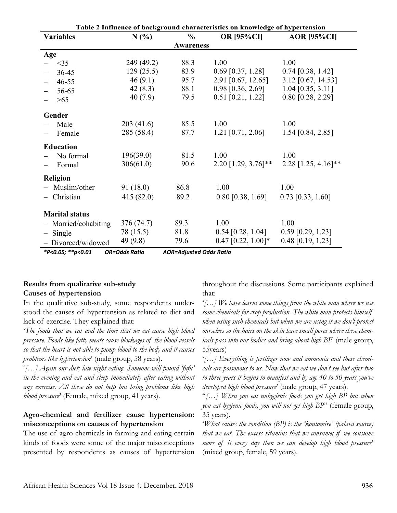| Table 2 Influence of background characteristics on knowledge of hypertension |                      |                                |                       |                       |  |  |
|------------------------------------------------------------------------------|----------------------|--------------------------------|-----------------------|-----------------------|--|--|
| <b>Variables</b>                                                             | N(%                  | $\%$                           | <b>OR [95%CI]</b>     | <b>AOR [95%CI]</b>    |  |  |
|                                                                              |                      | <b>Awareness</b>               |                       |                       |  |  |
| Age                                                                          |                      |                                |                       |                       |  |  |
| $<$ 35                                                                       | 249 (49.2)           | 88.3                           | 1.00                  | 1.00                  |  |  |
| 36-45                                                                        | 129(25.5)            | 83.9                           | $0.69$ [0.37, 1.28]   | $0.74$ [0.38, 1.42]   |  |  |
| $46 - 55$                                                                    | 46(9.1)              | 95.7                           | 2.91 [0.67, 12.65]    | $3.12$ [0.67, 14.53]  |  |  |
| 56-65                                                                        | 42(8.3)              | 88.1                           | $0.98$ [0.36, 2.69]   | $1.04$ [0.35, 3.11]   |  |  |
| >65                                                                          | 40(7.9)              | 79.5                           | $0.51$ [0.21, 1.22]   | 0.80 [0.28, 2.29]     |  |  |
| Gender                                                                       |                      |                                |                       |                       |  |  |
| Male                                                                         | 203(41.6)            | 85.5                           | 1.00                  | 1.00                  |  |  |
| Female                                                                       | 285 (58.4)           | 87.7                           | $1.21$ [0.71, 2.06]   | 1.54 [0.84, 2.85]     |  |  |
|                                                                              |                      |                                |                       |                       |  |  |
| <b>Education</b>                                                             |                      |                                |                       |                       |  |  |
| No formal                                                                    | 196(39.0)            | 81.5                           | 1.00                  | 1.00                  |  |  |
| Formal                                                                       | 306(61.0)            | 90.6                           | $2.20$ [1.29, 3.76]** | $2.28$ [1.25, 4.16]** |  |  |
| <b>Religion</b>                                                              |                      |                                |                       |                       |  |  |
| Muslim/other                                                                 | 91(18.0)             | 86.8                           | 1.00                  | 1.00                  |  |  |
| - Christian                                                                  | 415(82.0)            | 89.2                           | $0.80$ [0.38, 1.69]   | $0.73$ [0.33, 1.60]   |  |  |
|                                                                              |                      |                                |                       |                       |  |  |
| <b>Marital status</b>                                                        |                      |                                |                       |                       |  |  |
| - Married/cohabiting                                                         | 376 (74.7)           | 89.3                           | 1.00                  | 1.00                  |  |  |
| $-$ Single                                                                   | 78 (15.5)            | 81.8                           | $0.54$ [0.28, 1.04]   | $0.59$ [0.29, 1.23]   |  |  |
| - Divorced/widowed                                                           | 49 (9.8)             | 79.6                           | $0.47$ [0.22, 1.00]*  | $0.48$ [0.19, 1.23]   |  |  |
| *P<0.05; **p<0.01                                                            | <b>OR=Odds Ratio</b> | <b>AOR=Adjusted Odds Ratio</b> |                       |                       |  |  |

**Results from qualitative sub-study Causes of hypertension**

In the qualitative sub-study, some respondents understood the causes of hypertension as related to diet and lack of exercise. They explained that:

'*The foods that we eat and the time that we eat cause high blood pressure. Foods like fatty meats cause blockages of the blood vessels so that the heart is not able to pump blood to the body and it causes problems like hypertension*' (male group, 58 years).

'*[…] Again our diet; late night eating. Someone will pound 'fufu' in the evening and eat and sleep immediately after eating without any exercise. All these do not help but bring problems like high blood pressure*' (Female, mixed group, 41 years).

### **Agro-chemical and fertilizer cause hypertension: misconceptions on causes of hypertension**

The use of agro-chemicals in farming and eating certain kinds of foods were some of the major misconceptions presented by respondents as causes of hypertension

throughout the discussions. Some participants explained that:

'*[…] We have learnt some things from the white man where we use some chemicals for crop production. The white man protects himself when using such chemicals but when we are using it we don't protect ourselves so the hairs on the skin have small pores where these chemicals pass into our bodies and bring about high BP*' (male group, 55years)

'*[…] Everything is fertilizer now and ammonia and these chemicals are poisonous to us. Now that we eat we don't see but after two to three years it begins to manifest and by age 40 to 50 years you've developed high blood pressure*' (male group, 47 years).

"*[…] When you eat unhygienic foods you get high BP but when you eat hygienic foods, you will not get high BP*" (female group, 35 years).

'*What causes the condition (BP) is the 'kontomire' (palava source) that we eat. The excess vitamins that we consume; if we consume more of it every day then we can develop high blood pressure*' (mixed group, female, 59 years).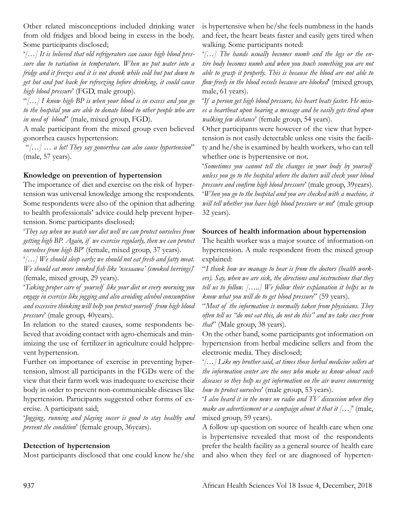Other related misconceptions included drinking water from old fridges and blood being in excess in the body. Some participants disclosed;

'*[…] It is believed that old refrigerators can cause high blood pressure due to variation in temperature. When we put water into a fridge and it freezes and it is not drank while cold but put down to get hot and put back for refreezing before drinking, it could cause high blood pressure*' (FGD, male group).

"*[…] I know high BP is when your blood is in excess and you go to the hospital you are able to donate blood to other people who are in need of blood*" (male, mixed group, FGD).

A male participant from the mixed group even believed gonorrhea causes hypertension:

 "*[…] … a lot! They say gonorrhea can also cause hypertension*" (male, 57 years).

# **Knowledge on prevention of hypertension**

The importance of diet and exercise on the risk of hypertension was universal knowledge among the respondents. Some respondents were also of the opinion that adhering to health professionals' advice could help prevent hypertension. Some participants disclosed;

'*They say when we watch our diet well we can protect ourselves from getting high BP. Again, if we exercise regularly, then we can protect ourselves from high BP*' (female, mixed group, 37 years).

'*[…] We should sleep early; we should not eat fresh and fatty meat. We should eat more smoked fish like 'nsesaawa' (smoked herrings)*' (female, mixed group, 29 years).

'*Taking proper care of yourself like your diet or every morning you engage in exercise like jogging and also avoiding alcohol consumption and excessive thinking will help you protect yourself from high blood pressure*' (male group, 40years).

In relation to the stated causes, some respondents believed that avoiding contact with agro-chemicals and minimizing the use of fertilizer in agriculture could helpprevent hypertension.

Further on importance of exercise in preventing hypertension, almost all participants in the FGDs were of the view that their farm work was inadequate to exercise their body in order to prevent non-communicable diseases like hypertension. Participants suggested other forms of exercise. A participant said;

'*Jogging, running and playing soccer is good to stay healthy and prevent the condition*' (female group, 36years).

# **Detection of hypertension**

Most participants disclosed that one could know he/she

is hypertensive when he/she feels numbness in the hands and feet, the heart beats faster and easily gets tired when walking. Some participants noted:

'*[…] The hands usually becomes numb and the legs or the entire body becomes numb and when you touch something you are not able to grasp it properly. This is because the blood are not able to flow freely in the blood vessels because are blocked*' (mixed group, male, 61 years).

'*If a person get high blood pressure, his heart beats faster. He misses a heartbeat upon hearing a message and he easily gets tired upon walking few distance*' (female group, 54 years).

Other participants were however of the view that hypertension is not easily detectable unless one visits the facility and he/she is examined by health workers, who can tell whether one is hypertensive or not.

'*Sometimes you cannot tell the changes in your body by yourself unless you go to the hospital where the doctors will check your blood pressure and confirm high blood pressure*' (male group, 39years). '*When you go to the hospital and you are checked with a machine, it will tell whether you have high blood pressure or not*' (male group 32 years).

#### **Sources of health information about hypertension**

The health worker was a major source of information on hypertension. A male respondent from the mixed group explained:

"*I think how we manage to hear is from the doctors (health workers). Say, when we are sick, the directions and instructions that they tell us to follow. […..] We follow their explanation it helps us to know what you will do to get blood pressure*" (59 years).

"*Most of the information is normally taken from physicians. They often tell us "do not eat this, do not do this" and we take cues from that*" (Male group, 38 years).

On the other hand, some participants got information on hypertension from herbal medicine sellers and from the electronic media. They disclosed;

'*[…] Like my brother said, at times those herbal medicine sellers at the information center are the ones who make us know about such diseases so they help us get information on the air waves concerning how to protect ourselves*' (male group, 53 years).

'*I also heard it in the news on radio and TV discussion when they make an advertisement or a campaign about it that it*  $[...]^n$  (male, mixed group, 59 years).

A follow up question on source of health care when one is hypertensive revealed that most of the respondents prefer the health facility as a general source of health care and also when they feel or are diagnosed of hyperten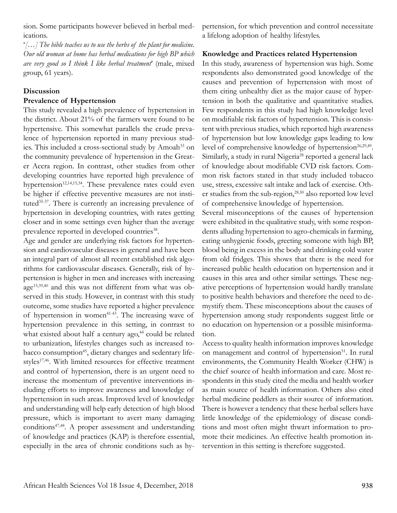sion. Some participants however believed in herbal medications.

'*[…] The bible teaches us to use the herbs of the plant for medicine. Our old woman at home has herbal medications for high BP which are very good so I think I like herbal treatment*' (male, mixed group, 61 years).

#### **Discussion**

#### **Prevalence of Hypertension**

This study revealed a high prevalence of hypertension in the district. About 21% of the farmers were found to be hypertensive. This somewhat parallels the crude prevalence of hypertension reported in many previous studies. This included a cross-sectional study by Amoah<sup>33</sup> on the community prevalence of hypertension in the Greater Accra region. In contrast, other studies from other developing countries have reported high prevalence of hypertension<sup>12,14,15,34</sup>. These prevalence rates could even be higher if effective preventive measures are not instituted<sup>35-37</sup>. There is currently an increasing prevalence of hypertension in developing countries, with rates getting closer and in some settings even higher than the average prevalence reported in developed countries<sup>38</sup>.

Age and gender are underlying risk factors for hypertension and cardiovascular diseases in general and have been an integral part of almost all recent established risk algorithms for cardiovascular diseases. Generally, risk of hypertension is higher in men and increases with increasing age15,39,40 and this was not different from what was observed in this study. However, in contrast with this study outcome, some studies have reported a higher prevalence of hypertension in women<sup>41-43</sup>. The increasing wave of hypertension prevalence in this setting, in contrast to what existed about half a century  $a\text{go}^{44}$  could be related to urbanization, lifestyles changes such as increased tobacco consumption<sup>45</sup>, dietary changes and sedentary lifestyles<sup>17,46</sup>. With limited resources for effective treatment and control of hypertension, there is an urgent need to increase the momentum of preventive interventions including efforts to improve awareness and knowledge of hypertension in such areas. Improved level of knowledge and understanding will help early detection of high blood pressure, which is important to avert many damaging conditions<sup>47,48</sup>. A proper assessment and understanding of knowledge and practices (KAP) is therefore essential, especially in the area of chronic conditions such as hypertension, for which prevention and control necessitate a lifelong adoption of healthy lifestyles.

### **Knowledge and Practices related Hypertension**

In this study, awareness of hypertension was high. Some respondents also demonstrated good knowledge of the causes and prevention of hypertension with most of them citing unhealthy diet as the major cause of hypertension in both the qualitative and quantitative studies. Few respondents in this study had high knowledge level on modifiable risk factors of hypertension. This is consistent with previous studies, which reported high awareness of hypertension but low knowledge gaps leading to low level of comprehensive knowledge of hypertension<sup>26,29,49</sup>. Similarly, a study in rural Nigeria<sup>28</sup> reported a general lack of knowledge about modifiable CVD risk factors. Common risk factors stated in that study included tobacco use, stress, excessive salt intake and lack of exercise. Other studies from the sub-region, $28,50$  also reported low level of comprehensive knowledge of hypertension.

Several misconceptions of the causes of hypertension were exhibited in the qualitative study, with some respondents alluding hypertension to agro-chemicals in farming, eating unhygienic foods, greeting someone with high BP, blood being in excess in the body and drinking cold water from old fridges. This shows that there is the need for increased public health education on hypertension and it causes in this area and other similar settings. These negative perceptions of hypertension would hardly translate to positive health behaviors and therefore the need to demystify them. These misconceptions about the causes of hypertension among study respondents suggest little or no education on hypertension or a possible misinformation.

Access to quality health information improves knowledge on management and control of hypertension<sup>51</sup>. In rural environments, the Community Health Worker (CHW) is the chief source of health information and care. Most respondents in this study cited the media and health worker as main source of health information. Others also cited herbal medicine peddlers as their source of information. There is however a tendency that these herbal sellers have little knowledge of the epidemiology of disease conditions and most often might thwart information to promote their medicines. An effective health promotion intervention in this setting is therefore suggested.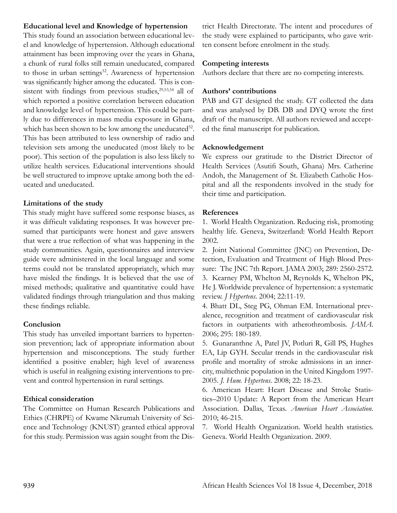#### **Educational level and Knowledge of hypertension**

This study found an association between educational level and knowledge of hypertension. Although educational attainment has been improving over the years in Ghana, a chunk of rural folks still remain uneducated, compared to those in urban settings<sup>52</sup>. Awareness of hypertension was significantly higher among the educated. This is consistent with findings from previous studies,<sup>29,53,54</sup> all of which reported a positive correlation between education and knowledge level of hypertension. This could be partly due to differences in mass media exposure in Ghana, which has been shown to be low among the uneducated<sup>52</sup>. This has been attributed to less ownership of radio and television sets among the uneducated (most likely to be poor). This section of the population is also less likely to utilize health services. Educational interventions should be well structured to improve uptake among both the educated and uneducated.

# **Limitations of the study**

This study might have suffered some response biases, as it was difficult validating responses. It was however presumed that participants were honest and gave answers that were a true reflection of what was happening in the study communities. Again, questionnaires and interview guide were administered in the local language and some terms could not be translated appropriately, which may have misled the findings. It is believed that the use of mixed methods; qualitative and quantitative could have validated findings through triangulation and thus making these findings reliable.

### **Conclusion**

This study has unveiled important barriers to hypertension prevention; lack of appropriate information about hypertension and misconceptions. The study further identified a positive enabler; high level of awareness which is useful in realigning existing interventions to prevent and control hypertension in rural settings.

# **Ethical consideration**

The Committee on Human Research Publications and Ethics (CHRPE) of Kwame Nkrumah University of Science and Technology (KNUST) granted ethical approval for this study. Permission was again sought from the District Health Directorate. The intent and procedures of the study were explained to participants, who gave written consent before enrolment in the study.

# **Competing interests**

Authors declare that there are no competing interests.

# **Authors' contributions**

PAB and GT designed the study. GT collected the data and was analysed by DB. DB and DYQ wrote the first draft of the manuscript. All authors reviewed and accepted the final manuscript for publication.

### **Acknowledgement**

We express our gratitude to the District Director of Health Services (Asutifi South, Ghana) Mrs. Catherine Andoh, the Management of St. Elizabeth Catholic Hospital and all the respondents involved in the study for their time and participation.

# **References**

1. World Health Organization. Reducing risk, promoting healthy life. Geneva, Switzerland: World Health Report 2002.

2. Joint National Committee (JNC) on Prevention, Detection, Evaluation and Treatment of High Blood Pressure: The JNC 7th Report. JAMA 2003; 289: 2560-2572. 3. Kearney PM, Whelton M, Reynolds K, Whelton PK, He J. Worldwide prevalence of hypertension: a systematic review. *J Hypertens*. 2004; 22:11-19.

4. Bhatt DL, Steg PG, Ohman EM. International prevalence, recognition and treatment of cardiovascular risk factors in outpatients with atherothrombosis. *JAMA*. 2006; 295: 180-189.

5. Gunaranthne A, Patel JV, Potluri R, Gill PS, Hughes EA, Lip GYH. Secular trends in the cardiovascular risk profile and mortality of stroke admissions in an innercity, multiethnic population in the United Kingdom 1997- 2005. *J. Hum. Hypertens*. 2008; 22: 18-23.

6. American Heart: Heart Disease and Stroke Statistics–2010 Update: A Report from the American Heart Association. Dallas, Texas. *American Heart Association*. 2010; 46-215.

7. World Health Organization. World health statistics. Geneva. World Health Organization. 2009.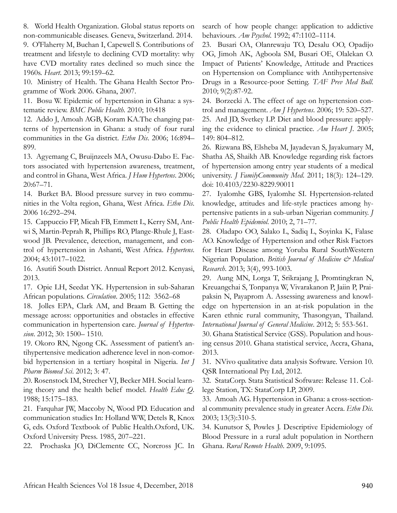8. World Health Organization. Global status reports on non-communicable diseases. Geneva, Switzerland. 2014.

9. O'Flaherty M, Buchan I, Capewell S. Contributions of treatment and lifestyle to declining CVD mortality: why have CVD mortality rates declined so much since the 1960s. *Heart*. 2013; 99:159–62.

10. Ministry of Health. The Ghana Health Sector Programme of Work 2006. Ghana, 2007.

11. Bosu W. Epidemic of hypertension in Ghana: a systematic review. *BMC Public Health*. 2010; 10:418

12. Addo J, Amoah AGB, Koram KA.The changing patterns of hypertension in Ghana: a study of four rural communities in the Ga district. *Ethn Dis*. 2006; 16:894– 899.

13. Agyemang C, Bruijnzeels MA, Owusu-Dabo E. Factors associated with hypertension awareness, treatment, and control in Ghana, West Africa. *J Hum Hypertens*. 2006; 20:67–71.

14. Burket BA. Blood pressure survey in two communities in the Volta region, Ghana, West Africa. *Ethn Dis*. 2006 16:292–294.

15. Cappuccio FP, Micah FB, Emmett L, Kerry SM, Antwi S, Martin-Peprah R, Phillips RO, Plange-Rhule J, Eastwood JB. Prevalence, detection, management, and control of hypertension in Ashanti, West Africa. *Hypertens*. 2004; 43:1017–1022.

16. Asutifi South District. Annual Report 2012. Kenyasi, 2013.

17. Opie LH, Seedat YK. Hypertension in sub-Saharan African populations. *Circulation*. 2005; 112: 3562–68

18. Jolles EPA, Clark AM, and Braam B. Getting the message across: opportunities and obstacles in effective communication in hypertension care. *Journal of Hypertension*. 2012; 30: 1500– 1510.

19. Okoro RN, Ngong CK. Assessment of patient's antihypertensive medication adherence level in non-comorbid hypertension in a tertiary hospital in Nigeria. *Int J Pharm Biomed Sci*. 2012; 3: 47.

20. Rosenstock IM, Strecher VJ, Becker MH. Social learning theory and the health belief model. *Health Educ Q*. 1988; 15:175–183.

21. Farquhar JW, Maccoby N, Wood PD. Education and communication studies In: Holland WW, Detels R, Knox G, eds. Oxford Textbook of Public Health.Oxford, UK. Oxford University Press. 1985, 207–221.

22. Prochaska JO, DiClemente CC, Norcross JC. In

search of how people change: application to addictive behaviours. *Am Psychol*. 1992; 47:1102–1114.

23. Busari OA, Olanrewaju TO, Desalu OO, Opadijo OG, Jimoh AK, Agboola SM, Busari OE, Olalekan O. Impact of Patients' Knowledge, Attitude and Practices on Hypertension on Compliance with Antihypertensive Drugs in a Resource-poor Setting. *TAF Prev Med Bull*. 2010; 9(2):87-92.

24. Borzecki A. The effect of age on hypertension control and management. *Am J Hypertens*. 2006; 19: 520–527. 25. Ard JD, Svetkey LP. Diet and blood pressure: applying the evidence to clinical practice. *Am Heart J*. 2005; 149: 804–812.

26. Rizwana BS, Elsheba M, Jayadevan S, Jayakumary M, Shatha AS, Shaikh AB. Knowledge regarding risk factors of hypertension among entry year students of a medical university. *J FamilyCommunity Med*. 2011; 18(3): 124–129. doi: 10.4103/2230-8229.90011

27. Iyalomhe GBS, Iyalomhe SI. Hypertension-related knowledge, attitudes and life-style practices among hypertensive patients in a sub-urban Nigerian community. *J Public Health Epidemiol*. 2010; 2, 71–77.

28. Oladapo OO, Salako L, Sadiq L, Soyinka K, Falase AO. Knowledge of Hypertension and other Risk Factors for Heart Disease among Yoruba Rural SouthWestern Nigerian Population. *British Journal of Medicine & Medical Research*. 2013; 3(4), 993-1003.

29. Aung MN, Lorga T, Srikrajang J, Promtingkran N, Kreuangchai S, Tonpanya W, Vivarakanon P, Jaiin P, Praipaksin N, Payaprom A. Assessing awareness and knowledge on hypertension in an at-risk population in the Karen ethnic rural community, Thasongyan, Thailand. *International Journal of General Medicine*. 2012; 5: 553-561.

30. Ghana Statistical Service (GSS). Population and housing census 2010. Ghana statistical service, Accra, Ghana, 2013.

31. NVivo qualitative data analysis Software. Version 10. QSR International Pty Ltd, 2012.

32. StataCorp. Stata Statistical Software: Release 11. College Station, TX: StataCorp LP, 2009.

33. Amoah AG. Hypertension in Ghana: a cross-sectional community prevalence study in greater Accra. *Ethn Dis*. 2003; 13(3):310-5.

34. Kunutsor S, Powles J. Descriptive Epidemiology of Blood Pressure in a rural adult population in Northern Ghana. *Rural Remote Health*. 2009, 9:1095.